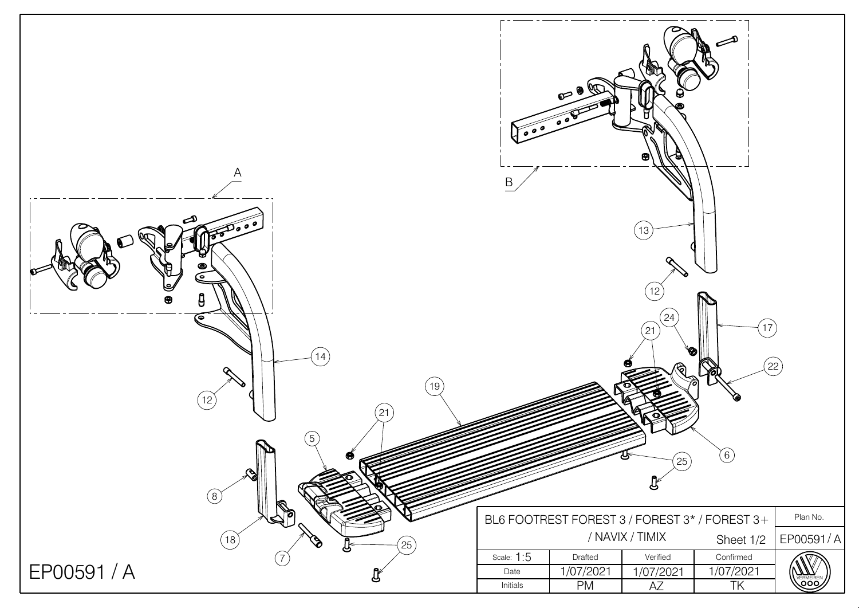